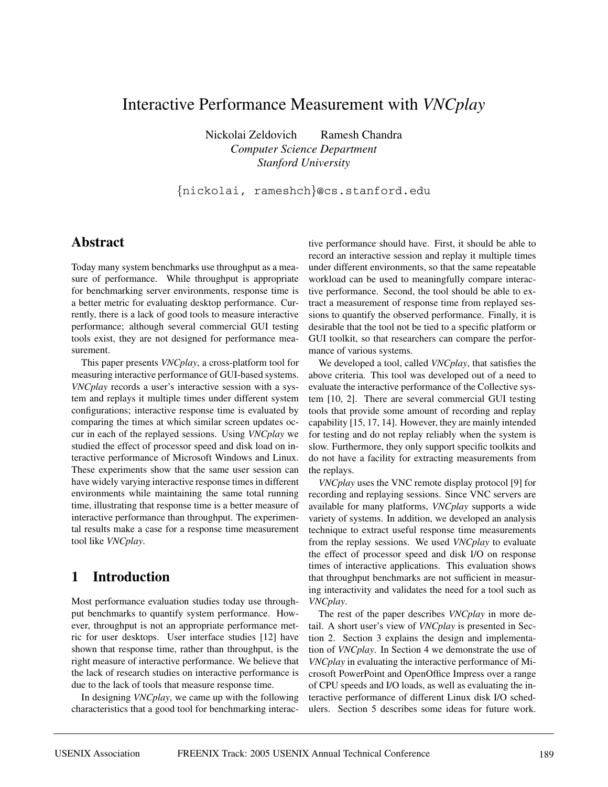# Interactive Performance Measurement with *VNCplay*

Nickolai Zeldovich Ramesh Chandra *Computer Science Department Stanford University*

{nickolai, rameshch}@cs.stanford.edu

### **Abstract**

Today many system benchmarks use throughput as a measure of performance. While throughput is appropriate for benchmarking server environments, response time is a better metric for evaluating desktop performance. Currently, there is a lack of good tools to measure interactive performance; although several commercial GUI testing tools exist, they are not designed for performance measurement.

This paper presents *VNCplay*, a cross-platform tool for measuring interactive performance of GUI-based systems. *VNCplay* records a user's interactive session with a system and replays it multiple times under different system configurations; interactive response time is evaluated by comparing the times at which similar screen updates occur in each of the replayed sessions. Using *VNCplay* we studied the effect of processor speed and disk load on interactive performance of Microsoft Windows and Linux. These experiments show that the same user session can have widely varying interactive response times in different environments while maintaining the same total running time, illustrating that response time is a better measure of interactive performance than throughput. The experimental results make a case for a response time measurement tool like *VNCplay*.

## **1 Introduction**

Most performance evaluation studies today use throughput benchmarks to quantify system performance. However, throughput is not an appropriate performance metric for user desktops. User interface studies [12] have shown that response time, rather than throughput, is the right measure of interactive performance. We believe that the lack of research studies on interactive performance is due to the lack of tools that measure response time.

In designing *VNCplay*, we came up with the following characteristics that a good tool for benchmarking interactive performance should have. First, it should be able to record an interactive session and replay it multiple times under different environments, so that the same repeatable workload can be used to meaningfully compare interactive performance. Second, the tool should be able to extract a measurement of response time from replayed sessions to quantify the observed performance. Finally, it is desirable that the tool not be tied to a specific platform or GUI toolkit, so that researchers can compare the performance of various systems.

We developed a tool, called *VNCplay*, that satisfies the above criteria. This tool was developed out of a need to evaluate the interactive performance of the Collective system [10, 2]. There are several commercial GUI testing tools that provide some amount of recording and replay capability [15, 17, 14]. However, they are mainly intended for testing and do not replay reliably when the system is slow. Furthermore, they only support specific toolkits and do not have a facility for extracting measurements from the replays.

*VNCplay* uses the VNC remote display protocol [9] for recording and replaying sessions. Since VNC servers are available for many platforms, *VNCplay* supports a wide variety of systems. In addition, we developed an analysis technique to extract useful response time measurements from the replay sessions. We used *VNCplay* to evaluate the effect of processor speed and disk I/O on response times of interactive applications. This evaluation shows that throughput benchmarks are not sufficient in measuring interactivity and validates the need for a tool such as *VNCplay*.

The rest of the paper describes *VNCplay* in more detail. A short user's view of *VNCplay* is presented in Section 2. Section 3 explains the design and implementation of *VNCplay*. In Section 4 we demonstrate the use of *VNCplay* in evaluating the interactive performance of Microsoft PowerPoint and OpenOffice Impress over a range of CPU speeds and I/O loads, as well as evaluating the interactive performance of different Linux disk I/O schedulers. Section 5 describes some ideas for future work.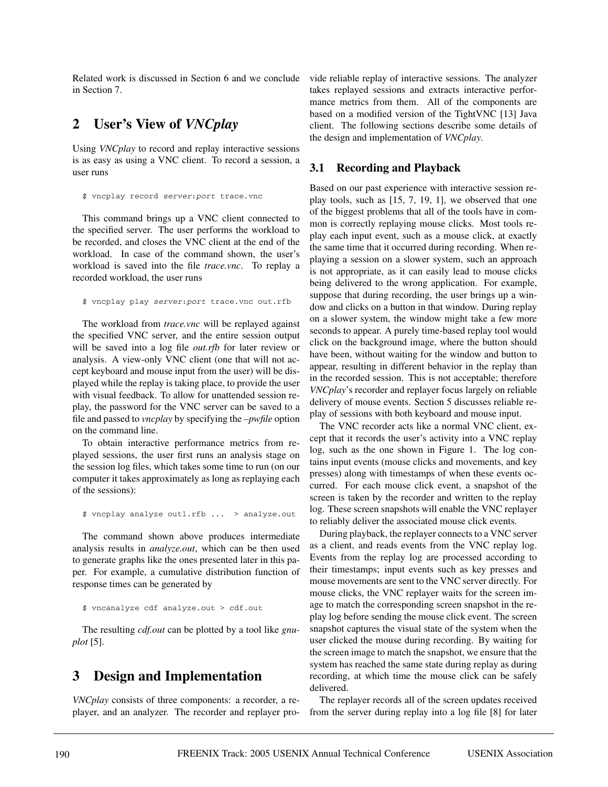Related work is discussed in Section 6 and we conclude in Section 7.

### **2 User's View of** *VNCplay*

Using *VNCplay* to record and replay interactive sessions is as easy as using a VNC client. To record a session, a user runs

\$ vncplay record server:port trace.vnc

This command brings up a VNC client connected to the specified server. The user performs the workload to be recorded, and closes the VNC client at the end of the workload. In case of the command shown, the user's workload is saved into the file *trace.vnc*. To replay a recorded workload, the user runs

\$ vncplay play server:port trace.vnc out.rfb

The workload from *trace.vnc* will be replayed against the specified VNC server, and the entire session output will be saved into a log file *out.rfb* for later review or analysis. A view-only VNC client (one that will not accept keyboard and mouse input from the user) will be displayed while the replay is taking place, to provide the user with visual feedback. To allow for unattended session replay, the password for the VNC server can be saved to a file and passed to *vncplay* by specifying the *–pwfile* option on the command line.

To obtain interactive performance metrics from replayed sessions, the user first runs an analysis stage on the session log files, which takes some time to run (on our computer it takes approximately as long as replaying each of the sessions):

\$ vncplay analyze out1.rfb ... > analyze.out

The command shown above produces intermediate analysis results in *analyze.out*, which can be then used to generate graphs like the ones presented later in this paper. For example, a cumulative distribution function of response times can be generated by

\$ vncanalyze cdf analyze.out > cdf.out

The resulting *cdf.out* can be plotted by a tool like *gnuplot* [5].

### **3 Design and Implementation**

*VNCplay* consists of three components: a recorder, a replayer, and an analyzer. The recorder and replayer provide reliable replay of interactive sessions. The analyzer takes replayed sessions and extracts interactive performance metrics from them. All of the components are based on a modified version of the TightVNC [13] Java client. The following sections describe some details of the design and implementation of *VNCplay*.

#### **3.1 Recording and Playback**

Based on our past experience with interactive session replay tools, such as [15, 7, 19, 1], we observed that one of the biggest problems that all of the tools have in common is correctly replaying mouse clicks. Most tools replay each input event, such as a mouse click, at exactly the same time that it occurred during recording. When replaying a session on a slower system, such an approach is not appropriate, as it can easily lead to mouse clicks being delivered to the wrong application. For example, suppose that during recording, the user brings up a window and clicks on a button in that window. During replay on a slower system, the window might take a few more seconds to appear. A purely time-based replay tool would click on the background image, where the button should have been, without waiting for the window and button to appear, resulting in different behavior in the replay than in the recorded session. This is not acceptable; therefore *VNCplay*'s recorder and replayer focus largely on reliable delivery of mouse events. Section 5 discusses reliable replay of sessions with both keyboard and mouse input.

The VNC recorder acts like a normal VNC client, except that it records the user's activity into a VNC replay log, such as the one shown in Figure 1. The log contains input events (mouse clicks and movements, and key presses) along with timestamps of when these events occurred. For each mouse click event, a snapshot of the screen is taken by the recorder and written to the replay log. These screen snapshots will enable the VNC replayer to reliably deliver the associated mouse click events.

During playback, the replayer connects to a VNC server as a client, and reads events from the VNC replay log. Events from the replay log are processed according to their timestamps; input events such as key presses and mouse movements are sent to the VNC server directly. For mouse clicks, the VNC replayer waits for the screen image to match the corresponding screen snapshot in the replay log before sending the mouse click event. The screen snapshot captures the visual state of the system when the user clicked the mouse during recording. By waiting for the screen image to match the snapshot, we ensure that the system has reached the same state during replay as during recording, at which time the mouse click can be safely delivered.

The replayer records all of the screen updates received from the server during replay into a log file [8] for later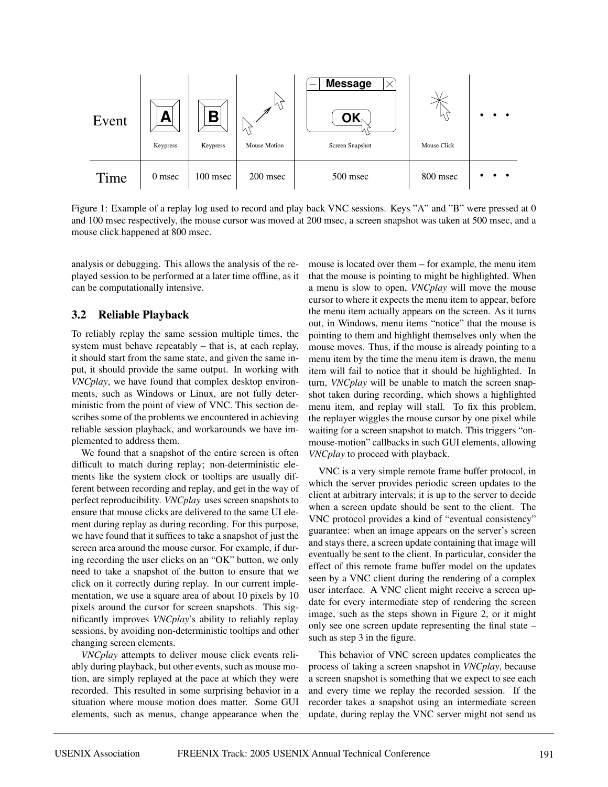

Figure 1: Example of a replay log used to record and play back VNC sessions. Keys "A" and "B" were pressed at 0 and 100 msec respectively, the mouse cursor was moved at 200 msec, a screen snapshot was taken at 500 msec, and a mouse click happened at 800 msec.

analysis or debugging. This allows the analysis of the replayed session to be performed at a later time offline, as it can be computationally intensive.

### **3.2 Reliable Playback**

To reliably replay the same session multiple times, the system must behave repeatably – that is, at each replay, it should start from the same state, and given the same input, it should provide the same output. In working with *VNCplay*, we have found that complex desktop environments, such as Windows or Linux, are not fully deterministic from the point of view of VNC. This section describes some of the problems we encountered in achieving reliable session playback, and workarounds we have implemented to address them.

We found that a snapshot of the entire screen is often difficult to match during replay; non-deterministic elements like the system clock or tooltips are usually different between recording and replay, and get in the way of perfect reproducibility. *VNCplay* uses screen snapshots to ensure that mouse clicks are delivered to the same UI element during replay as during recording. For this purpose, we have found that it suffices to take a snapshot of just the screen area around the mouse cursor. For example, if during recording the user clicks on an "OK" button, we only need to take a snapshot of the button to ensure that we click on it correctly during replay. In our current implementation, we use a square area of about 10 pixels by 10 pixels around the cursor for screen snapshots. This significantly improves *VNCplay*'s ability to reliably replay sessions, by avoiding non-deterministic tooltips and other changing screen elements.

*VNCplay* attempts to deliver mouse click events reliably during playback, but other events, such as mouse motion, are simply replayed at the pace at which they were recorded. This resulted in some surprising behavior in a situation where mouse motion does matter. Some GUI elements, such as menus, change appearance when the mouse is located over them – for example, the menu item that the mouse is pointing to might be highlighted. When a menu is slow to open, *VNCplay* will move the mouse cursor to where it expects the menu item to appear, before the menu item actually appears on the screen. As it turns out, in Windows, menu items "notice" that the mouse is pointing to them and highlight themselves only when the mouse moves. Thus, if the mouse is already pointing to a menu item by the time the menu item is drawn, the menu item will fail to notice that it should be highlighted. In turn, *VNCplay* will be unable to match the screen snapshot taken during recording, which shows a highlighted menu item, and replay will stall. To fix this problem, the replayer wiggles the mouse cursor by one pixel while waiting for a screen snapshot to match. This triggers "onmouse-motion" callbacks in such GUI elements, allowing *VNCplay* to proceed with playback.

VNC is a very simple remote frame buffer protocol, in which the server provides periodic screen updates to the client at arbitrary intervals; it is up to the server to decide when a screen update should be sent to the client. The VNC protocol provides a kind of "eventual consistency" guarantee: when an image appears on the server's screen and stays there, a screen update containing that image will eventually be sent to the client. In particular, consider the effect of this remote frame buffer model on the updates seen by a VNC client during the rendering of a complex user interface. A VNC client might receive a screen update for every intermediate step of rendering the screen image, such as the steps shown in Figure 2, or it might only see one screen update representing the final state – such as step 3 in the figure.

This behavior of VNC screen updates complicates the process of taking a screen snapshot in *VNCplay*, because a screen snapshot is something that we expect to see each and every time we replay the recorded session. If the recorder takes a snapshot using an intermediate screen update, during replay the VNC server might not send us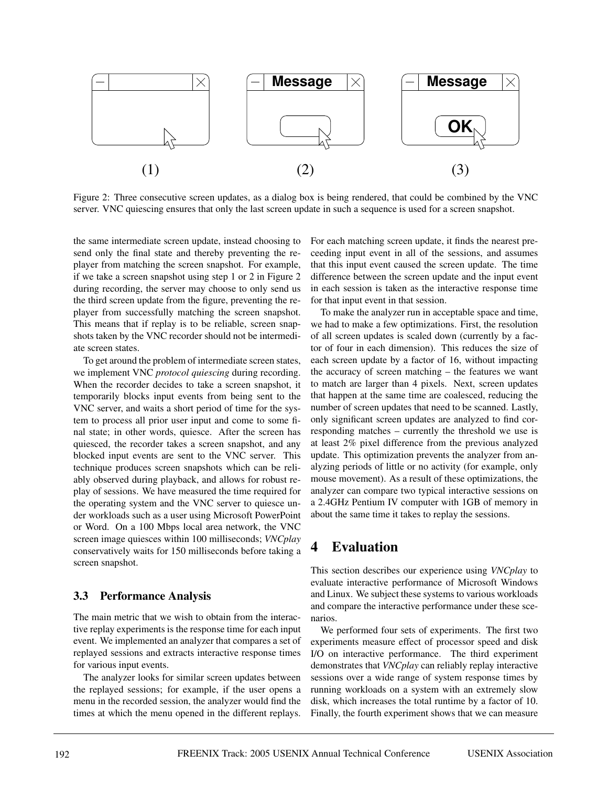

Figure 2: Three consecutive screen updates, as a dialog box is being rendered, that could be combined by the VNC server. VNC quiescing ensures that only the last screen update in such a sequence is used for a screen snapshot.

the same intermediate screen update, instead choosing to send only the final state and thereby preventing the replayer from matching the screen snapshot. For example, if we take a screen snapshot using step 1 or 2 in Figure 2 during recording, the server may choose to only send us the third screen update from the figure, preventing the replayer from successfully matching the screen snapshot. This means that if replay is to be reliable, screen snapshots taken by the VNC recorder should not be intermediate screen states.

To get around the problem of intermediate screen states, we implement VNC *protocol quiescing* during recording. When the recorder decides to take a screen snapshot, it temporarily blocks input events from being sent to the VNC server, and waits a short period of time for the system to process all prior user input and come to some final state; in other words, quiesce. After the screen has quiesced, the recorder takes a screen snapshot, and any blocked input events are sent to the VNC server. This technique produces screen snapshots which can be reliably observed during playback, and allows for robust replay of sessions. We have measured the time required for the operating system and the VNC server to quiesce under workloads such as a user using Microsoft PowerPoint or Word. On a 100 Mbps local area network, the VNC screen image quiesces within 100 milliseconds; *VNCplay* conservatively waits for 150 milliseconds before taking a screen snapshot.

### **3.3 Performance Analysis**

The main metric that we wish to obtain from the interactive replay experiments is the response time for each input event. We implemented an analyzer that compares a set of replayed sessions and extracts interactive response times for various input events.

The analyzer looks for similar screen updates between the replayed sessions; for example, if the user opens a menu in the recorded session, the analyzer would find the times at which the menu opened in the different replays. For each matching screen update, it finds the nearest preceeding input event in all of the sessions, and assumes that this input event caused the screen update. The time difference between the screen update and the input event in each session is taken as the interactive response time for that input event in that session.

To make the analyzer run in acceptable space and time, we had to make a few optimizations. First, the resolution of all screen updates is scaled down (currently by a factor of four in each dimension). This reduces the size of each screen update by a factor of 16, without impacting the accuracy of screen matching – the features we want to match are larger than 4 pixels. Next, screen updates that happen at the same time are coalesced, reducing the number of screen updates that need to be scanned. Lastly, only significant screen updates are analyzed to find corresponding matches – currently the threshold we use is at least 2% pixel difference from the previous analyzed update. This optimization prevents the analyzer from analyzing periods of little or no activity (for example, only mouse movement). As a result of these optimizations, the analyzer can compare two typical interactive sessions on a 2.4GHz Pentium IV computer with 1GB of memory in about the same time it takes to replay the sessions.

# **4 Evaluation**

This section describes our experience using *VNCplay* to evaluate interactive performance of Microsoft Windows and Linux. We subject these systems to various workloads and compare the interactive performance under these scenarios.

We performed four sets of experiments. The first two experiments measure effect of processor speed and disk I/O on interactive performance. The third experiment demonstrates that *VNCplay* can reliably replay interactive sessions over a wide range of system response times by running workloads on a system with an extremely slow disk, which increases the total runtime by a factor of 10. Finally, the fourth experiment shows that we can measure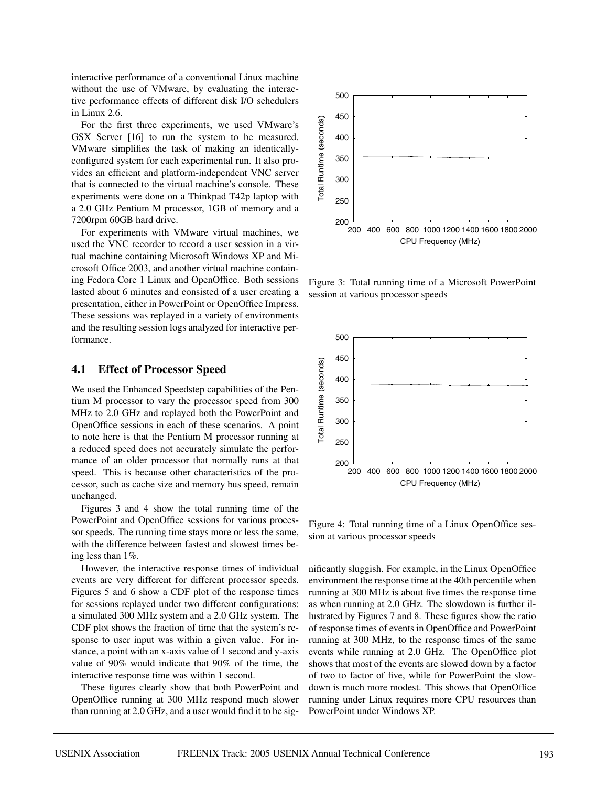interactive performance of a conventional Linux machine without the use of VMware, by evaluating the interactive performance effects of different disk I/O schedulers in Linux 2.6.

For the first three experiments, we used VMware's GSX Server [16] to run the system to be measured. VMware simplifies the task of making an identicallyconfigured system for each experimental run. It also provides an efficient and platform-independent VNC server that is connected to the virtual machine's console. These experiments were done on a Thinkpad T42p laptop with a 2.0 GHz Pentium M processor, 1GB of memory and a 7200rpm 60GB hard drive.

For experiments with VMware virtual machines, we used the VNC recorder to record a user session in a virtual machine containing Microsoft Windows XP and Microsoft Office 2003, and another virtual machine containing Fedora Core 1 Linux and OpenOffice. Both sessions lasted about 6 minutes and consisted of a user creating a presentation, either in PowerPoint or OpenOffice Impress. These sessions was replayed in a variety of environments and the resulting session logs analyzed for interactive performance.

### **4.1 Effect of Processor Speed**

We used the Enhanced Speedstep capabilities of the Pentium M processor to vary the processor speed from 300 MHz to 2.0 GHz and replayed both the PowerPoint and OpenOffice sessions in each of these scenarios. A point to note here is that the Pentium M processor running at a reduced speed does not accurately simulate the performance of an older processor that normally runs at that speed. This is because other characteristics of the processor, such as cache size and memory bus speed, remain unchanged.

Figures 3 and 4 show the total running time of the PowerPoint and OpenOffice sessions for various processor speeds. The running time stays more or less the same, with the difference between fastest and slowest times being less than 1%.

However, the interactive response times of individual events are very different for different processor speeds. Figures 5 and 6 show a CDF plot of the response times for sessions replayed under two different configurations: a simulated 300 MHz system and a 2.0 GHz system. The CDF plot shows the fraction of time that the system's response to user input was within a given value. For instance, a point with an x-axis value of 1 second and y-axis value of 90% would indicate that 90% of the time, the interactive response time was within 1 second.

These figures clearly show that both PowerPoint and OpenOffice running at 300 MHz respond much slower than running at 2.0 GHz, and a user would find it to be sig-



Figure 3: Total running time of a Microsoft PowerPoint session at various processor speeds



Figure 4: Total running time of a Linux OpenOffice session at various processor speeds

nificantly sluggish. For example, in the Linux OpenOffice environment the response time at the 40th percentile when running at 300 MHz is about five times the response time as when running at 2.0 GHz. The slowdown is further illustrated by Figures 7 and 8. These figures show the ratio of response times of events in OpenOffice and PowerPoint running at 300 MHz, to the response times of the same events while running at 2.0 GHz. The OpenOffice plot shows that most of the events are slowed down by a factor of two to factor of five, while for PowerPoint the slowdown is much more modest. This shows that OpenOffice running under Linux requires more CPU resources than PowerPoint under Windows XP.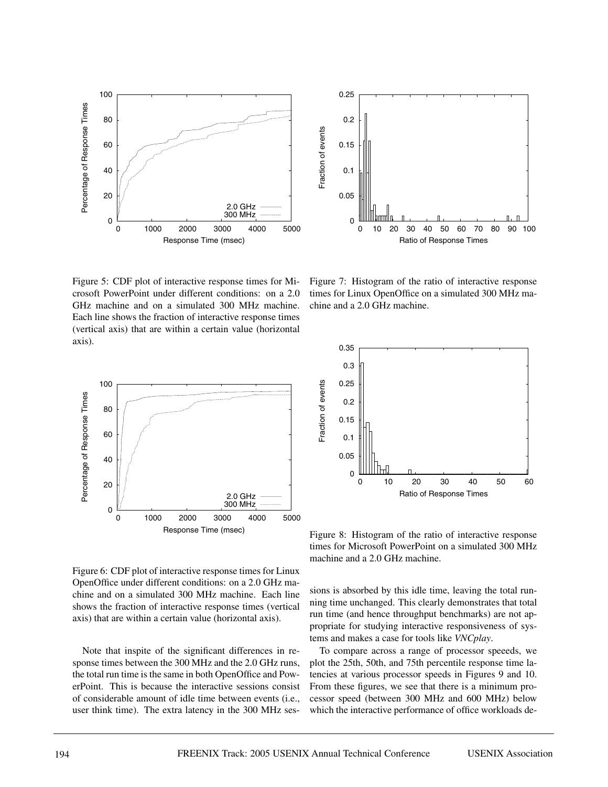



Figure 5: CDF plot of interactive response times for Microsoft PowerPoint under different conditions: on a 2.0 GHz machine and on a simulated 300 MHz machine. Each line shows the fraction of interactive response times (vertical axis) that are within a certain value (horizontal axis).

Figure 7: Histogram of the ratio of interactive response times for Linux OpenOffice on a simulated 300 MHz machine and a 2.0 GHz machine.



Figure 6: CDF plot of interactive response times for Linux OpenOffice under different conditions: on a 2.0 GHz machine and on a simulated 300 MHz machine. Each line shows the fraction of interactive response times (vertical axis) that are within a certain value (horizontal axis).

Note that inspite of the significant differences in response times between the 300 MHz and the 2.0 GHz runs, the total run time is the same in both OpenOffice and PowerPoint. This is because the interactive sessions consist of considerable amount of idle time between events (i.e., user think time). The extra latency in the 300 MHz ses-



Figure 8: Histogram of the ratio of interactive response times for Microsoft PowerPoint on a simulated 300 MHz machine and a 2.0 GHz machine.

sions is absorbed by this idle time, leaving the total running time unchanged. This clearly demonstrates that total run time (and hence throughput benchmarks) are not appropriate for studying interactive responsiveness of systems and makes a case for tools like *VNCplay*.

To compare across a range of processor speeeds, we plot the 25th, 50th, and 75th percentile response time latencies at various processor speeds in Figures 9 and 10. From these figures, we see that there is a minimum processor speed (between 300 MHz and 600 MHz) below which the interactive performance of office workloads de-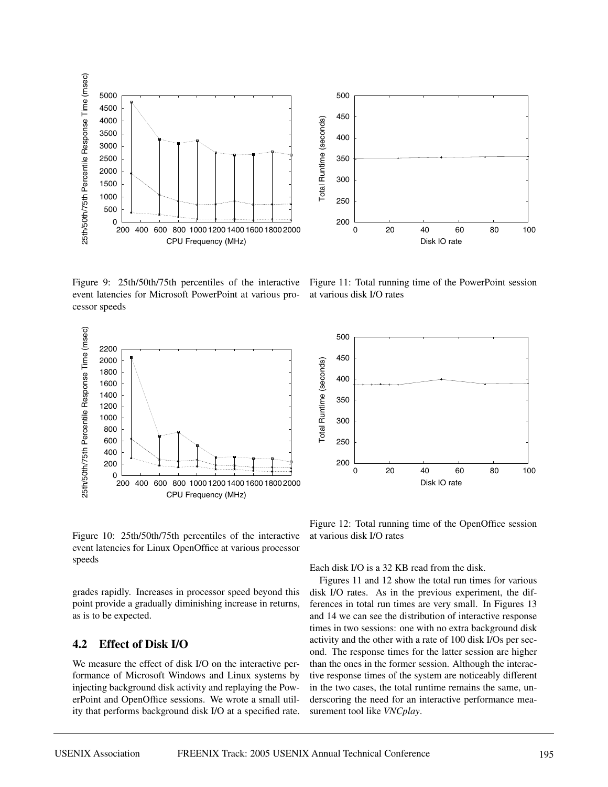

Figure 9: 25th/50th/75th percentiles of the interactive event latencies for Microsoft PowerPoint at various processor speeds



Figure 11: Total running time of the PowerPoint session at various disk I/O rates

0 20 40 60 80 100

Disk IO rate

200

250

300

Total Runtime

( s e c o n d s )

350

400

450

500



Figure 10: 25th/50th/75th percentiles of the interactive event latencies for Linux OpenOffice at various processor speeds

grades rapidly. Increases in processor speed beyond this point provide a gradually diminishing increase in returns, as is to be expected.

### **4.2 Effect of Disk I/O**

We measure the effect of disk I/O on the interactive performance of Microsoft Windows and Linux systems by injecting background disk activity and replaying the PowerPoint and OpenOffice sessions. We wrote a small utility that performs background disk I/O at a specified rate.

Figure 12: Total running time of the OpenOffice session at various disk I/O rates

Each disk I/O is a 32 KB read from the disk.

Figures 11 and 12 show the total run times for various disk I/O rates. As in the previous experiment, the differences in total run times are very small. In Figures 13 and 14 we can see the distribution of interactive response times in two sessions: one with no extra background disk activity and the other with a rate of 100 disk I/Os per second. The response times for the latter session are higher than the ones in the former session. Although the interactive response times of the system are noticeably different in the two cases, the total runtime remains the same, underscoring the need for an interactive performance measurement tool like *VNCplay*.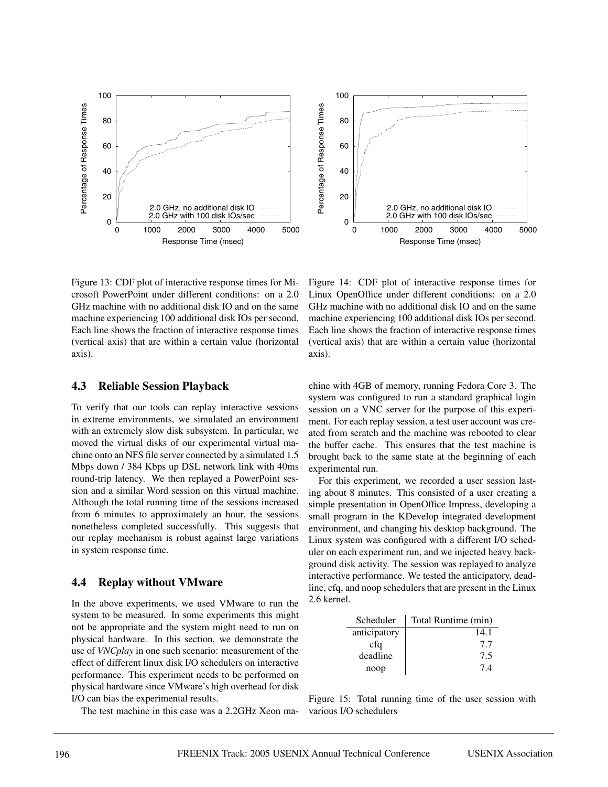

Figure 13: CDF plot of interactive response times for Microsoft PowerPoint under different conditions: on a 2.0 GHz machine with no additional disk IO and on the same machine experiencing 100 additional disk IOs per second. Each line shows the fraction of interactive response times (vertical axis) that are within a certain value (horizontal axis).

#### **4.3 Reliable Session Playback**

To verify that our tools can replay interactive sessions in extreme environments, we simulated an environment with an extremely slow disk subsystem. In particular, we moved the virtual disks of our experimental virtual machine onto an NFS file server connected by a simulated 1.5 Mbps down / 384 Kbps up DSL network link with 40ms round-trip latency. We then replayed a PowerPoint session and a similar Word session on this virtual machine. Although the total running time of the sessions increased from 6 minutes to approximately an hour, the sessions nonetheless completed successfully. This suggests that our replay mechanism is robust against large variations in system response time.

#### **4.4 Replay without VMware**

In the above experiments, we used VMware to run the system to be measured. In some experiments this might not be appropriate and the system might need to run on physical hardware. In this section, we demonstrate the use of *VNCplay* in one such scenario: measurement of the effect of different linux disk I/O schedulers on interactive performance. This experiment needs to be performed on physical hardware since VMware's high overhead for disk I/O can bias the experimental results.

The test machine in this case was a 2.2GHz Xeon ma-

Figure 14: CDF plot of interactive response times for Linux OpenOffice under different conditions: on a 2.0 GHz machine with no additional disk IO and on the same machine experiencing 100 additional disk IOs per second. Each line shows the fraction of interactive response times (vertical axis) that are within a certain value (horizontal axis).

chine with 4GB of memory, running Fedora Core 3. The system was configured to run a standard graphical login session on a VNC server for the purpose of this experiment. For each replay session, a test user account was created from scratch and the machine was rebooted to clear the buffer cache. This ensures that the test machine is brought back to the same state at the beginning of each experimental run.

For this experiment, we recorded a user session lasting about 8 minutes. This consisted of a user creating a simple presentation in OpenOffice Impress, developing a small program in the KDevelop integrated development environment, and changing his desktop background. The Linux system was configured with a different I/O scheduler on each experiment run, and we injected heavy background disk activity. The session was replayed to analyze interactive performance. We tested the anticipatory, deadline, cfq, and noop schedulers that are present in the Linux 2.6 kernel.

| Scheduler    | Total Runtime (min) |
|--------------|---------------------|
| anticipatory | 14.1                |
| cfq          | 77                  |
| deadline     | 7.5                 |
| noop         | 74                  |

Figure 15: Total running time of the user session with various I/O schedulers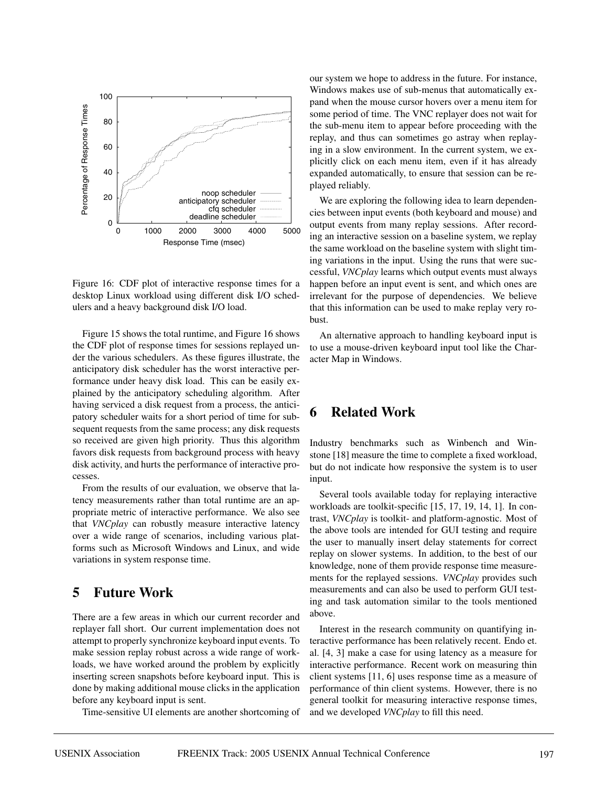

Figure 16: CDF plot of interactive response times for a desktop Linux workload using different disk I/O schedulers and a heavy background disk I/O load.

Figure 15 shows the total runtime, and Figure 16 shows the CDF plot of response times for sessions replayed under the various schedulers. As these figures illustrate, the anticipatory disk scheduler has the worst interactive performance under heavy disk load. This can be easily explained by the anticipatory scheduling algorithm. After having serviced a disk request from a process, the anticipatory scheduler waits for a short period of time for subsequent requests from the same process; any disk requests so received are given high priority. Thus this algorithm favors disk requests from background process with heavy disk activity, and hurts the performance of interactive processes.

From the results of our evaluation, we observe that latency measurements rather than total runtime are an appropriate metric of interactive performance. We also see that *VNCplay* can robustly measure interactive latency over a wide range of scenarios, including various platforms such as Microsoft Windows and Linux, and wide variations in system response time.

### **5 Future Work**

There are a few areas in which our current recorder and replayer fall short. Our current implementation does not attempt to properly synchronize keyboard input events. To make session replay robust across a wide range of workloads, we have worked around the problem by explicitly inserting screen snapshots before keyboard input. This is done by making additional mouse clicks in the application before any keyboard input is sent.

Time-sensitive UI elements are another shortcoming of

our system we hope to address in the future. For instance, Windows makes use of sub-menus that automatically expand when the mouse cursor hovers over a menu item for some period of time. The VNC replayer does not wait for the sub-menu item to appear before proceeding with the replay, and thus can sometimes go astray when replaying in a slow environment. In the current system, we explicitly click on each menu item, even if it has already expanded automatically, to ensure that session can be replayed reliably.

We are exploring the following idea to learn dependencies between input events (both keyboard and mouse) and output events from many replay sessions. After recording an interactive session on a baseline system, we replay the same workload on the baseline system with slight timing variations in the input. Using the runs that were successful, *VNCplay* learns which output events must always happen before an input event is sent, and which ones are irrelevant for the purpose of dependencies. We believe that this information can be used to make replay very robust.

An alternative approach to handling keyboard input is to use a mouse-driven keyboard input tool like the Character Map in Windows.

## **6 Related Work**

Industry benchmarks such as Winbench and Winstone [18] measure the time to complete a fixed workload, but do not indicate how responsive the system is to user input.

Several tools available today for replaying interactive workloads are toolkit-specific [15, 17, 19, 14, 1]. In contrast, *VNCplay* is toolkit- and platform-agnostic. Most of the above tools are intended for GUI testing and require the user to manually insert delay statements for correct replay on slower systems. In addition, to the best of our knowledge, none of them provide response time measurements for the replayed sessions. *VNCplay* provides such measurements and can also be used to perform GUI testing and task automation similar to the tools mentioned above.

Interest in the research community on quantifying interactive performance has been relatively recent. Endo et. al. [4, 3] make a case for using latency as a measure for interactive performance. Recent work on measuring thin client systems [11, 6] uses response time as a measure of performance of thin client systems. However, there is no general toolkit for measuring interactive response times, and we developed *VNCplay* to fill this need.